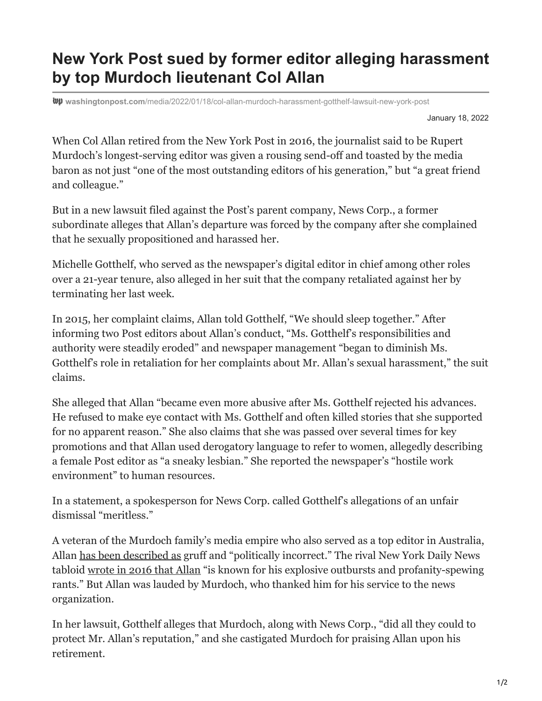## **New York Post sued by former editor alleging harassment by top Murdoch lieutenant Col Allan**

**washingtonpost.com**[/media/2022/01/18/col-allan-murdoch-harassment-gotthelf-lawsuit-new-york-post](https://www.washingtonpost.com/media/2022/01/18/col-allan-murdoch-harassment-gotthelf-lawsuit-new-york-post/)

January 18, 2022

When Col Allan retired from the New York Post in 2016, the journalist said to be Rupert Murdoch's longest-serving editor was given a rousing send-off and toasted by the media baron as not just "one of the most outstanding editors of his generation," but "a great friend and colleague."

But in a new lawsuit filed against the Post's parent company, News Corp., a former subordinate alleges that Allan's departure was forced by the company after she complained that he sexually propositioned and harassed her.

Michelle Gotthelf, who served as the newspaper's digital editor in chief among other roles over a 21-year tenure, also alleged in her suit that the company retaliated against her by terminating her last week.

In 2015, her complaint claims, Allan told Gotthelf, "We should sleep together." After informing two Post editors about Allan's conduct, "Ms. Gotthelf's responsibilities and authority were steadily eroded" and newspaper management "began to diminish Ms. Gotthelf's role in retaliation for her complaints about Mr. Allan's sexual harassment," the suit claims.

She alleged that Allan "became even more abusive after Ms. Gotthelf rejected his advances. He refused to make eye contact with Ms. Gotthelf and often killed stories that she supported for no apparent reason." She also claims that she was passed over several times for key promotions and that Allan used derogatory language to refer to women, allegedly describing a female Post editor as "a sneaky lesbian." She reported the newspaper's "hostile work environment" to human resources.

In a statement, a spokesperson for News Corp. called Gotthelf's allegations of an unfair dismissal "meritless."

A veteran of the Murdoch family's media empire who also served as a top editor in Australia, Allan [has been described as](https://www.theguardian.com/media/2016/apr/15/news-corp-editor-col-allan-retires-murdoch-papers) gruff and "politically incorrect." The rival New York Daily News tabloid [wrote in 2016 that Allan](https://www.nydailynews.com/new-york/allan-new-york-post-editor-trump-fan-retire-article-1.2601816) "is known for his explosive outbursts and profanity-spewing rants." But Allan was lauded by Murdoch, who thanked him for his service to the news organization.

In her lawsuit, Gotthelf alleges that Murdoch, along with News Corp., "did all they could to protect Mr. Allan's reputation," and she castigated Murdoch for praising Allan upon his retirement.